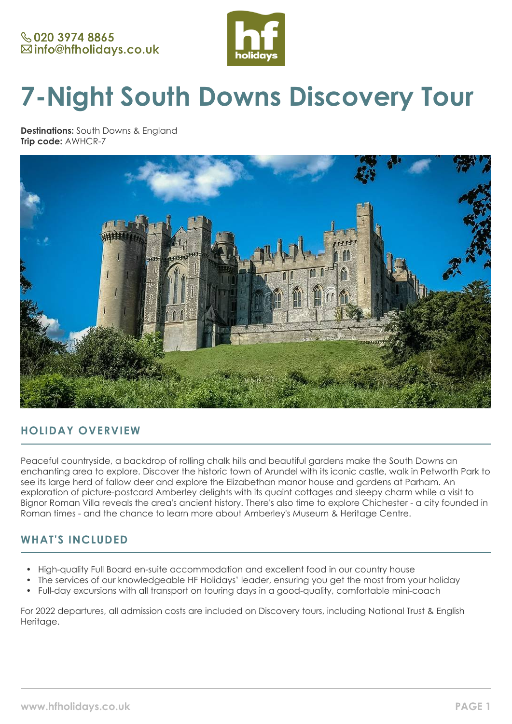

# **7-Night South Downs Discovery Tour**

**Destinations:** South Downs & England **Trip code:** AWHCR-7



## **HOLIDAY OVERVIEW**

Peaceful countryside, a backdrop of rolling chalk hills and beautiful gardens make the South Downs an enchanting area to explore. Discover the historic town of Arundel with its iconic castle, walk in Petworth Park to see its large herd of fallow deer and explore the Elizabethan manor house and gardens at Parham. An exploration of picture-postcard Amberley delights with its quaint cottages and sleepy charm while a visit to Bignor Roman Villa reveals the area's ancient history. There's also time to explore Chichester - a city founded in Roman times - and the chance to learn more about Amberley's Museum & Heritage Centre.

## **WHAT'S INCLUDED**

- High-quality Full Board en-suite accommodation and excellent food in our country house
- The services of our knowledgeable HF Holidays' leader, ensuring you get the most from your holiday
- Full-day excursions with all transport on touring days in a good-quality, comfortable mini-coach

For 2022 departures, all admission costs are included on Discovery tours, including National Trust & English Heritage.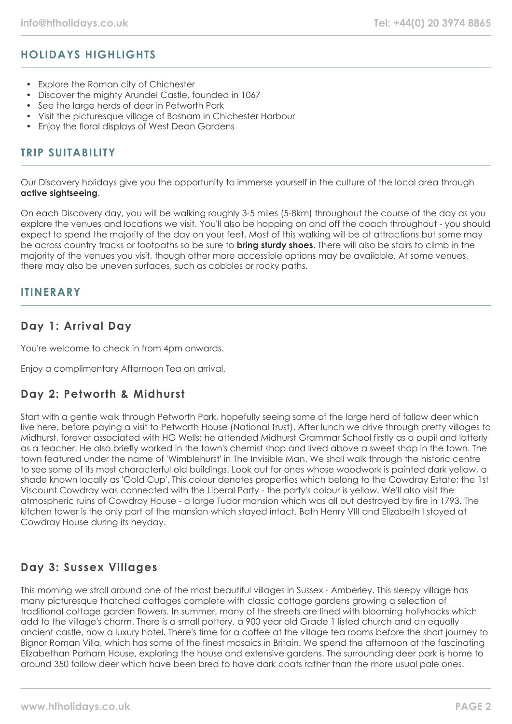# **HOLIDAYS HIGHLIGHTS**

- Explore the Roman city of Chichester
- Discover the mighty Arundel Castle, founded in 1067
- See the large herds of deer in Petworth Park
- Visit the picturesque village of Bosham in Chichester Harbour
- Enjoy the floral displays of West Dean Gardens

## **TRIP SUITABILITY**

Our Discovery holidays give you the opportunity to immerse yourself in the culture of the local area through **active sightseeing**.

On each Discovery day, you will be walking roughly 3-5 miles (5-8km) throughout the course of the day as you explore the venues and locations we visit. You'll also be hopping on and off the coach throughout - you should expect to spend the majority of the day on your feet. Most of this walking will be at attractions but some may be across country tracks or footpaths so be sure to **bring sturdy shoes**. There will also be stairs to climb in the majority of the venues you visit, though other more accessible options may be available. At some venues, there may also be uneven surfaces, such as cobbles or rocky paths.

## **ITINERARY**

## **Day 1: Arrival Day**

You're welcome to check in from 4pm onwards.

Enjoy a complimentary Afternoon Tea on arrival.

## **Day 2: Petworth & Midhurst**

Start with a gentle walk through Petworth Park, hopefully seeing some of the large herd of fallow deer which live here, before paying a visit to Petworth House (National Trust). After lunch we drive through pretty villages to Midhurst, forever associated with HG Wells; he attended Midhurst Grammar School firstly as a pupil and latterly as a teacher. He also briefly worked in the town's chemist shop and lived above a sweet shop in the town. The town featured under the name of 'Wimblehurst' in The Invisible Man. We shall walk through the historic centre to see some of its most characterful old buildings. Look out for ones whose woodwork is painted dark yellow, a shade known locally as 'Gold Cup'. This colour denotes properties which belong to the Cowdray Estate; the 1st Viscount Cowdray was connected with the Liberal Party - the party's colour is yellow. We'll also visit the atmospheric ruins of Cowdray House - a large Tudor mansion which was all but destroyed by fire in 1793. The kitchen tower is the only part of the mansion which stayed intact. Both Henry VIII and Elizabeth I stayed at Cowdray House during its heyday.

## **Day 3: Sussex Villages**

This morning we stroll around one of the most beautiful villages in Sussex - Amberley. This sleepy village has many picturesque thatched cottages complete with classic cottage gardens growing a selection of traditional cottage garden flowers. In summer, many of the streets are lined with blooming hollyhocks which add to the village's charm. There is a small pottery, a 900 year old Grade 1 listed church and an equally ancient castle, now a luxury hotel. There's time for a coffee at the village tea rooms before the short journey to Bignor Roman Villa, which has some of the finest mosaics in Britain. We spend the afternoon at the fascinating Elizabethan Parham House, exploring the house and extensive gardens. The surrounding deer park is home to around 350 fallow deer which have been bred to have dark coats rather than the more usual pale ones.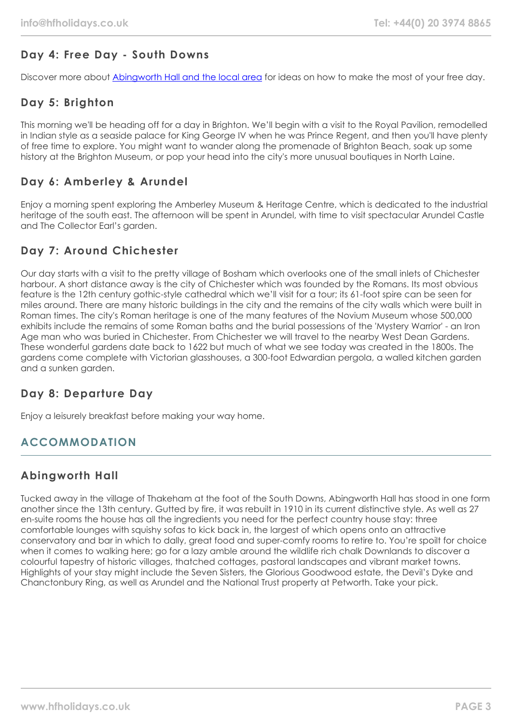# **Day 4: Free Day - South Downs**

Discover more about [Abingworth Hall and the local area](https://www.hfholidays.co.uk/country-houses/locations/abingworth-south-downs) for ideas on how to make the most of your free day.

# **Day 5: Brighton**

This morning we'll be heading off for a day in Brighton. We'll begin with a visit to the Royal Pavilion, remodelled in Indian style as a seaside palace for King George IV when he was Prince Regent, and then you'll have plenty of free time to explore. You might want to wander along the promenade of Brighton Beach, soak up some history at the Brighton Museum, or pop your head into the city's more unusual boutiques in North Laine.

# **Day 6: Amberley & Arundel**

Enjoy a morning spent exploring the Amberley Museum & Heritage Centre, which is dedicated to the industrial heritage of the south east. The afternoon will be spent in Arundel, with time to visit spectacular Arundel Castle and The Collector Earl's garden.

# **Day 7: Around Chichester**

Our day starts with a visit to the pretty village of Bosham which overlooks one of the small inlets of Chichester harbour. A short distance away is the city of Chichester which was founded by the Romans. Its most obvious feature is the 12th century gothic-style cathedral which we'll visit for a tour; its 61-foot spire can be seen for miles around. There are many historic buildings in the city and the remains of the city walls which were built in Roman times. The city's Roman heritage is one of the many features of the Novium Museum whose 500,000 exhibits include the remains of some Roman baths and the burial possessions of the 'Mystery Warrior' - an Iron Age man who was buried in Chichester. From Chichester we will travel to the nearby West Dean Gardens. These wonderful gardens date back to 1622 but much of what we see today was created in the 1800s. The gardens come complete with Victorian glasshouses, a 300-foot Edwardian pergola, a walled kitchen garden and a sunken garden.

## **Day 8: Departure Day**

Enjoy a leisurely breakfast before making your way home.

## **ACCOMMODATION**

# **Abingworth Hall**

Tucked away in the village of Thakeham at the foot of the South Downs, Abingworth Hall has stood in one form another since the 13th century. Gutted by fire, it was rebuilt in 1910 in its current distinctive style. As well as 27 en-suite rooms the house has all the ingredients you need for the perfect country house stay: three comfortable lounges with squishy sofas to kick back in, the largest of which opens onto an attractive conservatory and bar in which to dally, great food and super-comfy rooms to retire to. You're spoilt for choice when it comes to walking here; go for a lazy amble around the wildlife rich chalk Downlands to discover a colourful tapestry of historic villages, thatched cottages, pastoral landscapes and vibrant market towns. Highlights of your stay might include the Seven Sisters, the Glorious Goodwood estate, the Devil's Dyke and Chanctonbury Ring, as well as Arundel and the National Trust property at Petworth. Take your pick.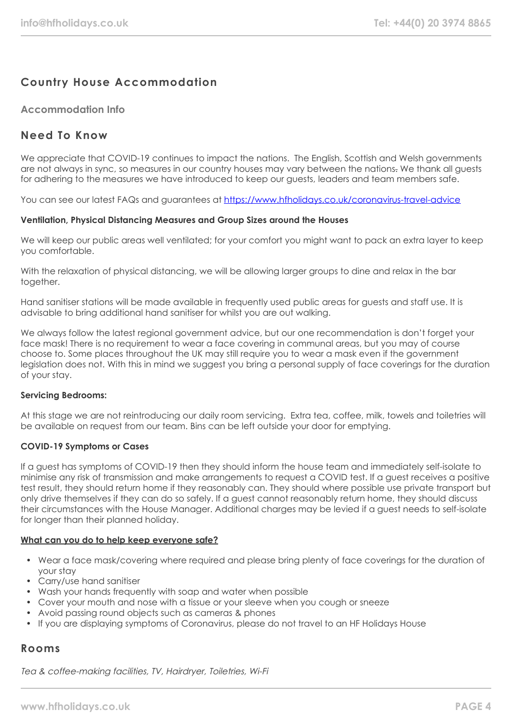# **Country House Accommodation**

#### **Accommodation Info**

## **Need To Know**

We appreciate that COVID-19 continues to impact the nations. The English, Scottish and Welsh governments are not always in sync, so measures in our country houses may vary between the nations. We thank all guests for adhering to the measures we have introduced to keep our guests, leaders and team members safe.

You can see our latest FAQs and guarantees at <https://www.hfholidays.co.uk/coronavirus-travel-advice>

#### **Ventilation, Physical Distancing Measures and Group Sizes around the Houses**

We will keep our public areas well ventilated; for your comfort you might want to pack an extra layer to keep you comfortable.

With the relaxation of physical distancing, we will be allowing larger groups to dine and relax in the bar together.

Hand sanitiser stations will be made available in frequently used public areas for guests and staff use. It is advisable to bring additional hand sanitiser for whilst you are out walking.

We always follow the latest regional government advice, but our one recommendation is don't forget your face mask! There is no requirement to wear a face covering in communal areas, but you may of course choose to. Some places throughout the UK may still require you to wear a mask even if the government legislation does not. With this in mind we suggest you bring a personal supply of face coverings for the duration of your stay.

#### **Servicing Bedrooms:**

At this stage we are not reintroducing our daily room servicing. Extra tea, coffee, milk, towels and toiletries will be available on request from our team. Bins can be left outside your door for emptying.

#### **COVID-19 Symptoms or Cases**

If a guest has symptoms of COVID-19 then they should inform the house team and immediately self-isolate to minimise any risk of transmission and make arrangements to request a COVID test. If a guest receives a positive test result, they should return home if they reasonably can. They should where possible use private transport but only drive themselves if they can do so safely. If a guest cannot reasonably return home, they should discuss their circumstances with the House Manager. Additional charges may be levied if a guest needs to self-isolate for longer than their planned holiday.

#### **What can you do to help keep everyone safe?**

- Wear a face mask/covering where required and please bring plenty of face coverings for the duration of your stay
- Carry/use hand sanitiser
- Wash your hands frequently with soap and water when possible
- Cover your mouth and nose with a tissue or your sleeve when you cough or sneeze
- Avoid passing round objects such as cameras & phones
- If you are displaying symptoms of Coronavirus, please do not travel to an HF Holidays House

#### **Rooms**

Tea & coffee-making facilities, TV, Hairdryer, Toiletries, Wi-Fi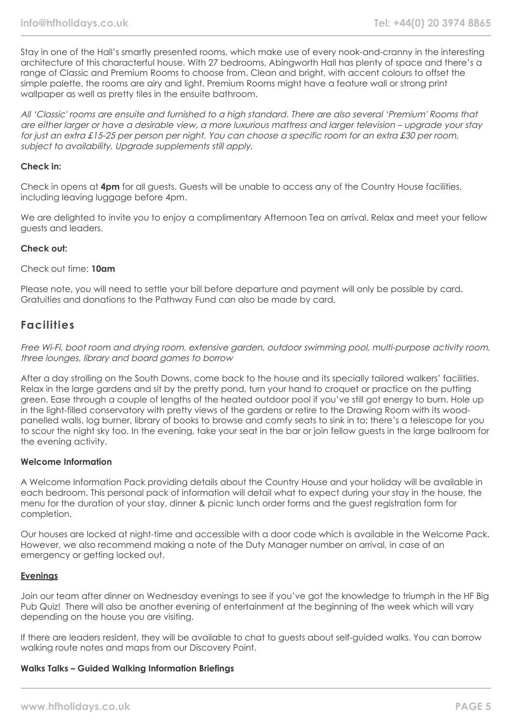Stay in one of the Hall's smartly presented rooms, which make use of every nook-and-cranny in the interesting architecture of this characterful house. With 27 bedrooms, Abingworth Hall has plenty of space and there's a range of Classic and Premium Rooms to choose from. Clean and bright, with accent colours to offset the simple palette, the rooms are airy and light. Premium Rooms might have a feature wall or strong print wallpaper as well as pretty tiles in the ensuite bathroom.

All 'Classic' rooms are ensuite and furnished to a high standard. There are also several 'Premium' Rooms that are either larger or have a desirable view, a more luxurious mattress and larger television – upgrade your stay for just an extra £15-25 per person per night. You can choose a specific room for an extra £30 per room, subject to availability. Upgrade supplements still apply.

#### **Check in:**

Check in opens at **4pm** for all guests. Guests will be unable to access any of the Country House facilities, including leaving luggage before 4pm.

We are delighted to invite you to enjoy a complimentary Afternoon Tea on arrival. Relax and meet your fellow guests and leaders.

#### **Check out:**

#### Check out time: **10am**

Please note, you will need to settle your bill before departure and payment will only be possible by card. Gratuities and donations to the Pathway Fund can also be made by card.

## **Facilities**

Free Wi-Fi, boot room and drying room, extensive garden, outdoor swimming pool, multi-purpose activity room, three lounges, library and board games to borrow

After a day strolling on the South Downs, come back to the house and its specially tailored walkers' facilities. Relax in the large gardens and sit by the pretty pond, turn your hand to croquet or practice on the putting green. Ease through a couple of lengths of the heated outdoor pool if you've still got energy to burn. Hole up in the light-filled conservatory with pretty views of the gardens or retire to the Drawing Room with its woodpanelled walls, log burner, library of books to browse and comfy seats to sink in to; there's a telescope for you to scour the night sky too. In the evening, take your seat in the bar or join fellow guests in the large ballroom for the evening activity.

#### **Welcome Information**

A Welcome Information Pack providing details about the Country House and your holiday will be available in each bedroom. This personal pack of information will detail what to expect during your stay in the house, the menu for the duration of your stay, dinner & picnic lunch order forms and the guest registration form for completion.

Our houses are locked at night-time and accessible with a door code which is available in the Welcome Pack. However, we also recommend making a note of the Duty Manager number on arrival, in case of an emergency or getting locked out.

#### **Evenings**

Join our team after dinner on Wednesday evenings to see if you've got the knowledge to triumph in the HF Big Pub Quiz! There will also be another evening of entertainment at the beginning of the week which will vary depending on the house you are visiting.

If there are leaders resident, they will be available to chat to guests about self-guided walks. You can borrow walking route notes and maps from our Discovery Point.

#### **Walks Talks – Guided Walking Information Briefings**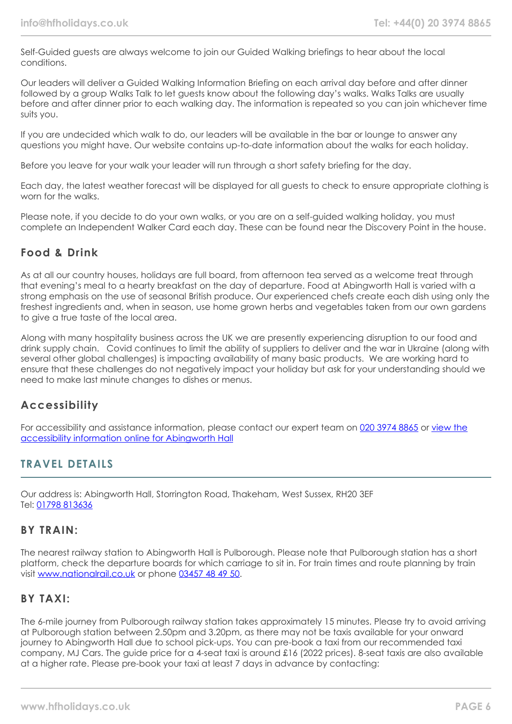Self-Guided guests are always welcome to join our Guided Walking briefings to hear about the local conditions.

Our leaders will deliver a Guided Walking Information Briefing on each arrival day before and after dinner followed by a group Walks Talk to let guests know about the following day's walks. Walks Talks are usually before and after dinner prior to each walking day. The information is repeated so you can join whichever time suits you.

If you are undecided which walk to do, our leaders will be available in the bar or lounge to answer any questions you might have. Our website contains up-to-date information about the walks for each holiday.

Before you leave for your walk your leader will run through a short safety briefing for the day.

Each day, the latest weather forecast will be displayed for all guests to check to ensure appropriate clothing is worn for the walks.

Please note, if you decide to do your own walks, or you are on a self-guided walking holiday, you must complete an Independent Walker Card each day. These can be found near the Discovery Point in the house.

## **Food & Drink**

As at all our country houses, holidays are full board, from afternoon tea served as a welcome treat through that evening's meal to a hearty breakfast on the day of departure. Food at Abingworth Hall is varied with a strong emphasis on the use of seasonal British produce. Our experienced chefs create each dish using only the freshest ingredients and, when in season, use home grown herbs and vegetables taken from our own gardens to give a true taste of the local area.

Along with many hospitality business across the UK we are presently experiencing disruption to our food and drink supply chain. Covid continues to limit the ability of suppliers to deliver and the war in Ukraine (along with several other global challenges) is impacting availability of many basic products. We are working hard to ensure that these challenges do not negatively impact your holiday but ask for your understanding should we need to make last minute changes to dishes or menus.

## **Accessibility**

For accessibility and assistance information, please contact our expert team on [020 3974 8865](tel:02039748865) or [view the](https://www.hfholidays.co.uk/images/Documents/accessibility_statements/Abingworth_-_accessibility_information_-_update_Feb_2021.pdf) [accessibility information online for Abingworth Hall](https://www.hfholidays.co.uk/images/Documents/accessibility_statements/Abingworth_-_accessibility_information_-_update_Feb_2021.pdf)

## **TRAVEL DETAILS**

Our address is: Abingworth Hall, Storrington Road, Thakeham, West Sussex, RH20 3EF Tel: [01798 813636](tel:01798813636)

## **BY TRAIN:**

The nearest railway station to Abingworth Hall is Pulborough. Please note that Pulborough station has a short platform, check the departure boards for which carriage to sit in. For train times and route planning by train visit [www.nationalrail.co.uk](http://www.nationalrail.co.uk/) or phone [03457 48 49 50.](tel:01903745414)

## **BY TAXI:**

The 6-mile journey from Pulborough railway station takes approximately 15 minutes. Please try to avoid arriving at Pulborough station between 2.50pm and 3.20pm, as there may not be taxis available for your onward journey to Abingworth Hall due to school pick-ups. You can pre-book a taxi from our recommended taxi company, MJ Cars. The guide price for a 4-seat taxi is around £16 (2022 prices). 8-seat taxis are also available at a higher rate. Please pre-book your taxi at least 7 days in advance by contacting: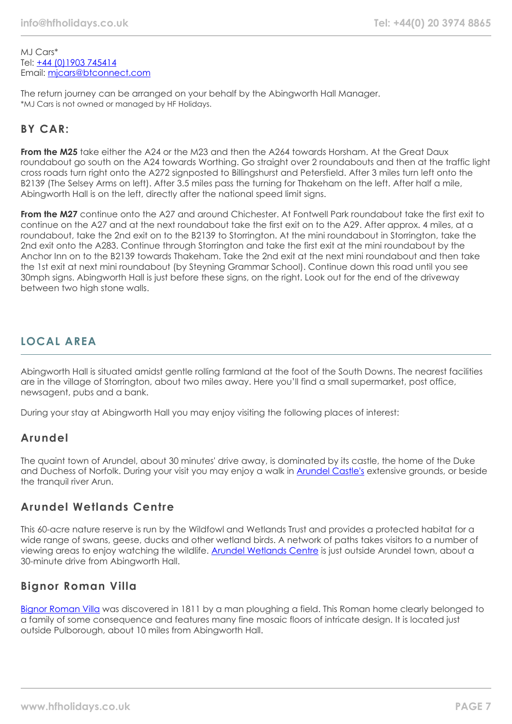MJ Cars\* Tel: [+44 \(0\)1903 745414](tel:01903745414) Email: [mjcars@btconnect.com](mailto:mjcars@btconnect.com)

The return journey can be arranged on your behalf by the Abingworth Hall Manager. \*MJ Cars is not owned or managed by HF Holidays.

# **BY CAR:**

**From the M25** take either the A24 or the M23 and then the A264 towards Horsham. At the Great Daux roundabout go south on the A24 towards Worthing. Go straight over 2 roundabouts and then at the traffic light cross roads turn right onto the A272 signposted to Billingshurst and Petersfield. After 3 miles turn left onto the B2139 (The Selsey Arms on left). After 3.5 miles pass the turning for Thakeham on the left. After half a mile, Abingworth Hall is on the left, directly after the national speed limit signs.

**From the M27** continue onto the A27 and around Chichester. At Fontwell Park roundabout take the first exit to continue on the A27 and at the next roundabout take the first exit on to the A29. After approx. 4 miles, at a roundabout, take the 2nd exit on to the B2139 to Storrington. At the mini roundabout in Storrington, take the 2nd exit onto the A283. Continue through Storrington and take the first exit at the mini roundabout by the Anchor Inn on to the B2139 towards Thakeham. Take the 2nd exit at the next mini roundabout and then take the 1st exit at next mini roundabout (by Steyning Grammar School). Continue down this road until you see 30mph signs. Abingworth Hall is just before these signs, on the right. Look out for the end of the driveway between two high stone walls.

# **LOCAL AREA**

Abingworth Hall is situated amidst gentle rolling farmland at the foot of the South Downs. The nearest facilities are in the village of Storrington, about two miles away. Here you'll find a small supermarket, post office, newsagent, pubs and a bank.

During your stay at Abingworth Hall you may enjoy visiting the following places of interest:

## **Arundel**

The quaint town of Arundel, about 30 minutes' drive away, is dominated by its castle, the home of the Duke and Duchess of Norfolk. During your visit you may enjoy a walk in [Arundel Castle's](https://www.arundelcastle.org/) extensive grounds, or beside the tranquil river Arun.

# **Arundel Wetlands Centre**

This 60-acre nature reserve is run by the Wildfowl and Wetlands Trust and provides a protected habitat for a wide range of swans, geese, ducks and other wetland birds. A network of paths takes visitors to a number of viewing areas to enjoy watching the wildlife. [Arundel Wetlands Centre](https://www.wwt.org.uk/wetland-centres/arundel) is just outside Arundel town, about a 30-minute drive from Abingworth Hall.

## **Bignor Roman Villa**

[Bignor Roman Villa](https://www.bignorromanvilla.co.uk/) was discovered in 1811 by a man ploughing a field. This Roman home clearly belonged to a family of some consequence and features many fine mosaic floors of intricate design. It is located just outside Pulborough, about 10 miles from Abingworth Hall.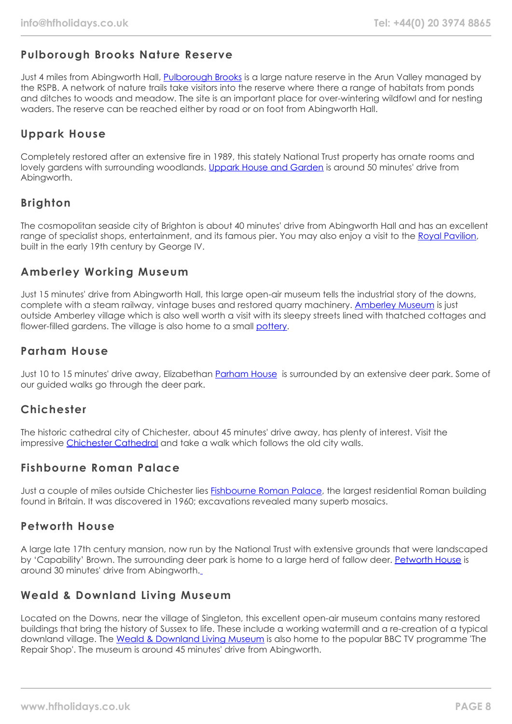# **Pulborough Brooks Nature Reserve**

Just 4 miles from Abingworth Hall, [Pulborough Brooks](https://www.rspb.org.uk/reserves-and-events/reserves-a-z/pulborough-brooks/) is a large nature reserve in the Arun Valley managed by the RSPB. A network of nature trails take visitors into the reserve where there a range of habitats from ponds and ditches to woods and meadow. The site is an important place for over-wintering wildfowl and for nesting waders. The reserve can be reached either by road or on foot from Abingworth Hall.

# **Uppark House**

Completely restored after an extensive fire in 1989, this stately National Trust property has ornate rooms and lovely gardens with surrounding woodlands. [Uppark House and Garden](https://www.nationaltrust.org.uk/uppark-house-and-garden) is around 50 minutes' drive from Abingworth.

# **Brighton**

The cosmopolitan seaside city of Brighton is about 40 minutes' drive from Abingworth Hall and has an excellent range of specialist shops, entertainment, and its famous pier. You may also enjoy a visit to the [Royal Pavilion](https://brightonmuseums.org.uk/royalpavilion/), built in the early 19th century by George IV.

## **Amberley Working Museum**

Just 15 minutes' drive from Abingworth Hall, this large open-air museum tells the industrial story of the downs, complete with a steam railway, vintage buses and restored quarry machinery. [Amberley Museum](https://www.amberleymuseum.co.uk/) is just outside Amberley village which is also well worth a visit with its sleepy streets lined with thatched cottages and flower-filled gardens. The village is also home to a small [pottery.](http://www.amberleypottery.co.uk/)

## **Parham House**

Just 10 to 15 minutes' drive away, Elizabethan [Parham House](https://www.parhaminsussex.co.uk/) is surrounded by an extensive deer park. Some of our guided walks go through the deer park.

## **Chichester**

The historic cathedral city of Chichester, about 45 minutes' drive away, has plenty of interest. Visit the impressive [Chichester Cathedral](https://www.chichestercathedral.org.uk/) and take a walk which follows the old city walls.

## **Fishbourne Roman Palace**

Just a couple of miles outside Chichester lies [Fishbourne Roman Palace,](https://www.visitchichester.org/activity/fishbourne-roman-palace-and-gardens) the largest residential Roman building found in Britain. It was discovered in 1960; excavations revealed many superb mosaics.

## **Petworth House**

A large late 17th century mansion, now run by the National Trust with extensive grounds that were landscaped by 'Capability' Brown. The surrounding deer park is home to a large herd of fallow deer. [Petworth House](https://www.nationaltrust.org.uk/petworth-house-and-park) is around 30 minutes' drive from Abingworth.

## **Weald & Downland Living Museum**

Located on the Downs, near the village of Singleton, this excellent open-air museum contains many restored buildings that bring the history of Sussex to life. These include a working watermill and a re-creation of a typical downland village. The [Weald & Downland Living Museum](https://www.wealddown.co.uk/) is also home to the popular BBC TV programme 'The Repair Shop'. The museum is around 45 minutes' drive from Abingworth.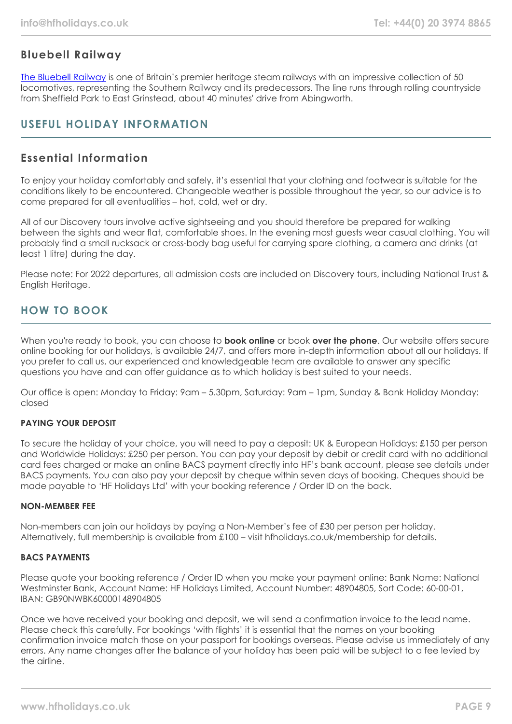# **Bluebell Railway**

[The Bluebell Railway](https://www.bluebell-railway.com/brps/) is one of Britain's premier heritage steam railways with an impressive collection of 50 locomotives, representing the Southern Railway and its predecessors. The line runs through rolling countryside from Sheffield Park to East Grinstead, about 40 minutes' drive from Abingworth.

# **USEFUL HOLIDAY INFORMATION**

# **Essential Information**

To enjoy your holiday comfortably and safely, it's essential that your clothing and footwear is suitable for the conditions likely to be encountered. Changeable weather is possible throughout the year, so our advice is to come prepared for all eventualities – hot, cold, wet or dry.

All of our Discovery tours involve active sightseeing and you should therefore be prepared for walking between the sights and wear flat, comfortable shoes. In the evening most guests wear casual clothing. You will probably find a small rucksack or cross-body bag useful for carrying spare clothing, a camera and drinks (at least 1 litre) during the day.

Please note: For 2022 departures, all admission costs are included on Discovery tours, including National Trust & English Heritage.

# **HOW TO BOOK**

When you're ready to book, you can choose to **book online** or book **over the phone**. Our website offers secure online booking for our holidays, is available 24/7, and offers more in-depth information about all our holidays. If you prefer to call us, our experienced and knowledgeable team are available to answer any specific questions you have and can offer guidance as to which holiday is best suited to your needs.

Our office is open: Monday to Friday: 9am – 5.30pm, Saturday: 9am – 1pm, Sunday & Bank Holiday Monday: closed

#### **PAYING YOUR DEPOSIT**

To secure the holiday of your choice, you will need to pay a deposit: UK & European Holidays: £150 per person and Worldwide Holidays: £250 per person. You can pay your deposit by debit or credit card with no additional card fees charged or make an online BACS payment directly into HF's bank account, please see details under BACS payments. You can also pay your deposit by cheque within seven days of booking. Cheques should be made payable to 'HF Holidays Ltd' with your booking reference / Order ID on the back.

#### **NON-MEMBER FEE**

Non-members can join our holidays by paying a Non-Member's fee of £30 per person per holiday. Alternatively, full membership is available from £100 – visit hfholidays.co.uk/membership for details.

#### **BACS PAYMENTS**

Please quote your booking reference / Order ID when you make your payment online: Bank Name: National Westminster Bank, Account Name: HF Holidays Limited, Account Number: 48904805, Sort Code: 60-00-01, IBAN: GB90NWBK60000148904805

Once we have received your booking and deposit, we will send a confirmation invoice to the lead name. Please check this carefully. For bookings 'with flights' it is essential that the names on your booking confirmation invoice match those on your passport for bookings overseas. Please advise us immediately of any errors. Any name changes after the balance of your holiday has been paid will be subject to a fee levied by the airline.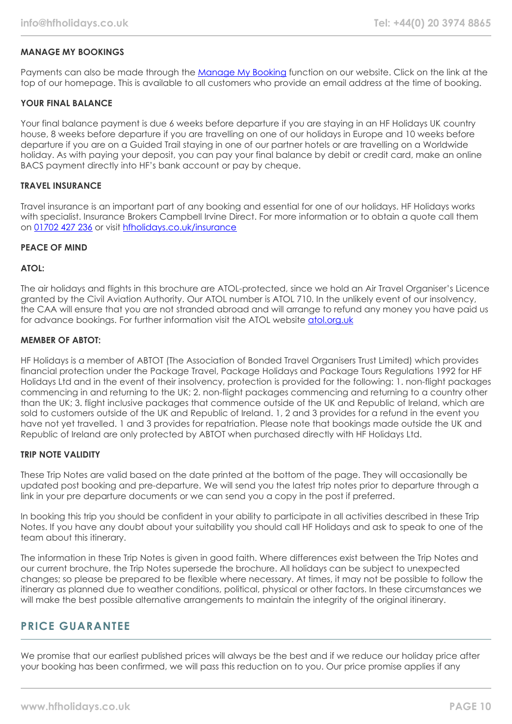#### **MANAGE MY BOOKINGS**

Payments can also be made through the [Manage My Booking](https://www.hfholidays.co.uk/about-us/bookings/my-booking) function on our website. Click on the link at the top of our homepage. This is available to all customers who provide an email address at the time of booking.

#### **YOUR FINAL BALANCE**

Your final balance payment is due 6 weeks before departure if you are staying in an HF Holidays UK country house, 8 weeks before departure if you are travelling on one of our holidays in Europe and 10 weeks before departure if you are on a Guided Trail staying in one of our partner hotels or are travelling on a Worldwide holiday. As with paying your deposit, you can pay your final balance by debit or credit card, make an online BACS payment directly into HF's bank account or pay by cheque.

#### **TRAVEL INSURANCE**

Travel insurance is an important part of any booking and essential for one of our holidays. HF Holidays works with specialist. Insurance Brokers Campbell Irvine Direct. For more information or to obtain a quote call them on [01702 427 236](tel:01702427236) or visit [hfholidays.co.uk/insurance](https://www.hfholidays.co.uk/about-us/bookings/insurance)

#### **PEACE OF MIND**

#### **ATOL:**

The air holidays and flights in this brochure are ATOL-protected, since we hold an Air Travel Organiser's Licence granted by the Civil Aviation Authority. Our ATOL number is ATOL 710. In the unlikely event of our insolvency, the CAA will ensure that you are not stranded abroad and will arrange to refund any money you have paid us for advance bookings. For further information visit the ATOL website [atol.org.uk](https://www.atol.org/)

#### **MEMBER OF ABTOT:**

HF Holidays is a member of ABTOT (The Association of Bonded Travel Organisers Trust Limited) which provides financial protection under the Package Travel, Package Holidays and Package Tours Regulations 1992 for HF Holidays Ltd and in the event of their insolvency, protection is provided for the following: 1. non-flight packages commencing in and returning to the UK; 2. non-flight packages commencing and returning to a country other than the UK; 3. flight inclusive packages that commence outside of the UK and Republic of Ireland, which are sold to customers outside of the UK and Republic of Ireland. 1, 2 and 3 provides for a refund in the event you have not yet travelled. 1 and 3 provides for repatriation. Please note that bookings made outside the UK and Republic of Ireland are only protected by ABTOT when purchased directly with HF Holidays Ltd.

#### **TRIP NOTE VALIDITY**

These Trip Notes are valid based on the date printed at the bottom of the page. They will occasionally be updated post booking and pre-departure. We will send you the latest trip notes prior to departure through a link in your pre departure documents or we can send you a copy in the post if preferred.

In booking this trip you should be confident in your ability to participate in all activities described in these Trip Notes. If you have any doubt about your suitability you should call HF Holidays and ask to speak to one of the team about this itinerary.

The information in these Trip Notes is given in good faith. Where differences exist between the Trip Notes and our current brochure, the Trip Notes supersede the brochure. All holidays can be subject to unexpected changes; so please be prepared to be flexible where necessary. At times, it may not be possible to follow the itinerary as planned due to weather conditions, political, physical or other factors. In these circumstances we will make the best possible alternative arrangements to maintain the integrity of the original itinerary.

## **PRICE GUARANTEE**

We promise that our earliest published prices will always be the best and if we reduce our holiday price after your booking has been confirmed, we will pass this reduction on to you. Our price promise applies if any